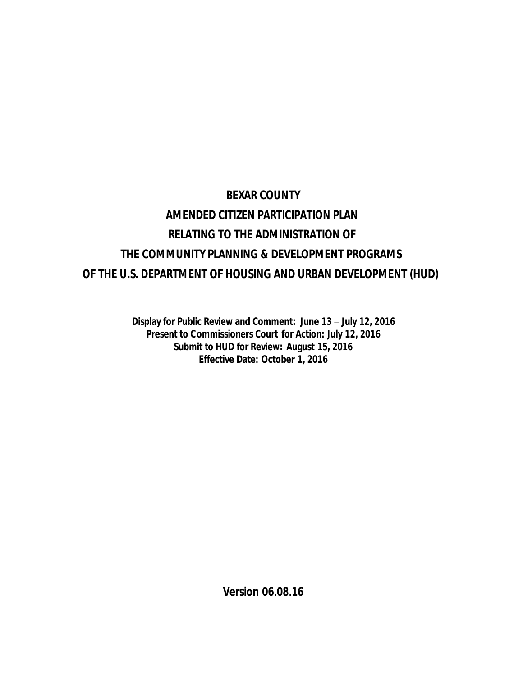# **BEXAR COUNTY AMENDED CITIZEN PARTICIPATION PLAN RELATING TO THE ADMINISTRATION OF THE COMMUNITY PLANNING & DEVELOPMENT PROGRAMS OF THE U.S. DEPARTMENT OF HOUSING AND URBAN DEVELOPMENT (HUD)**

**Display for Public Review and Comment: June 13** – **July 12, 2016 Present to Commissioners Court for Action: July 12, 2016 Submit to HUD for Review: August 15, 2016 Effective Date: October 1, 2016**

**Version 06.08.16**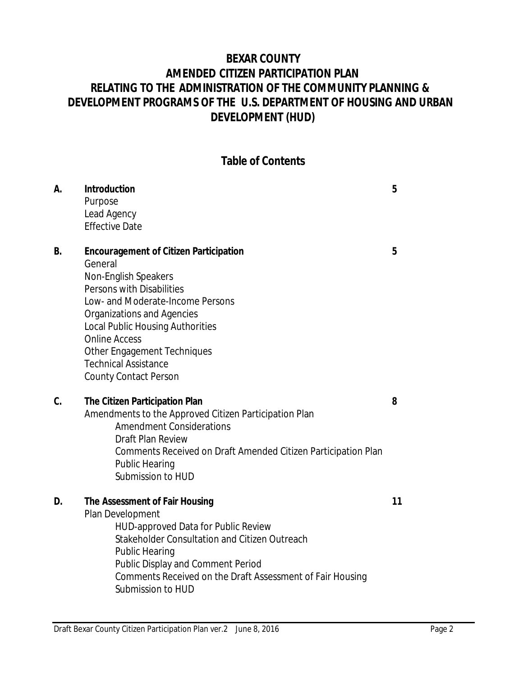# **BEXAR COUNTY AMENDED CITIZEN PARTICIPATION PLAN RELATING TO THE ADMINISTRATION OF THE COMMUNITY PLANNING & DEVELOPMENT PROGRAMS OF THE U.S. DEPARTMENT OF HOUSING AND URBAN DEVELOPMENT (HUD)**

#### **Table of Contents**

| А.        | Introduction<br>Purpose<br>Lead Agency<br><b>Effective Date</b>                                                                                                                                                                                                                                                                                  | 5  |
|-----------|--------------------------------------------------------------------------------------------------------------------------------------------------------------------------------------------------------------------------------------------------------------------------------------------------------------------------------------------------|----|
| <b>B.</b> | <b>Encouragement of Citizen Participation</b><br>General<br>Non-English Speakers<br>Persons with Disabilities<br>Low- and Moderate-Income Persons<br>Organizations and Agencies<br><b>Local Public Housing Authorities</b><br><b>Online Access</b><br>Other Engagement Techniques<br><b>Technical Assistance</b><br><b>County Contact Person</b> | 5  |
| C.        | The Citizen Participation Plan<br>Amendments to the Approved Citizen Participation Plan<br><b>Amendment Considerations</b><br>Draft Plan Review<br>Comments Received on Draft Amended Citizen Participation Plan<br><b>Public Hearing</b><br>Submission to HUD                                                                                   | 8  |
| D.        | The Assessment of Fair Housing<br>Plan Development<br><b>HUD-approved Data for Public Review</b><br>Stakeholder Consultation and Citizen Outreach<br><b>Public Hearing</b><br>Public Display and Comment Period<br>Comments Received on the Draft Assessment of Fair Housing<br>Submission to HUD                                                | 11 |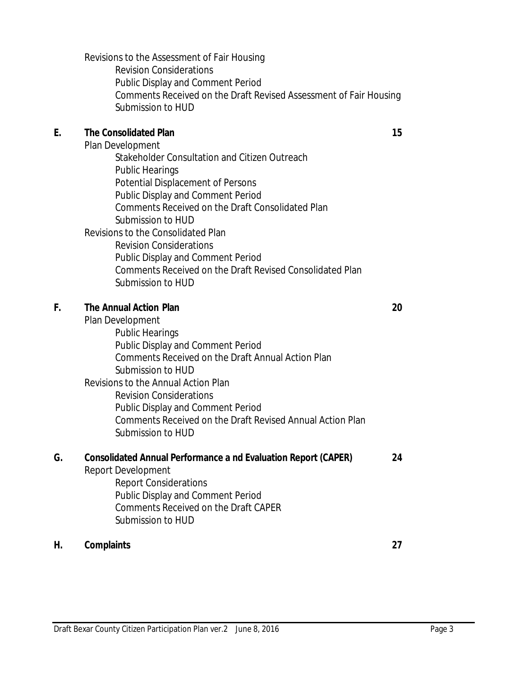Revisions to the Assessment of Fair Housing Revision Considerations Public Display and Comment Period Comments Received on the Draft Revised Assessment of Fair Housing Submission to HUD

#### **E. The Consolidated Plan 15**

Plan Development

Stakeholder Consultation and Citizen Outreach Public Hearings Potential Displacement of Persons Public Display and Comment Period Comments Received on the Draft Consolidated Plan Submission to HUD Revisions to the Consolidated Plan Revision Considerations Public Display and Comment Period Comments Received on the Draft Revised Consolidated Plan Submission to HUD

#### **F. The Annual Action Plan 20**

Plan Development Public Hearings Public Display and Comment Period Comments Received on the Draft Annual Action Plan Submission to HUD Revisions to the Annual Action Plan Revision Considerations Public Display and Comment Period Comments Received on the Draft Revised Annual Action Plan Submission to HUD

#### **G. Consolidated Annual Performance a nd Evaluation Report (CAPER) 24**

Report Development

Report Considerations Public Display and Comment Period Comments Received on the Draft CAPER Submission to HUD

#### **H. Complaints 27**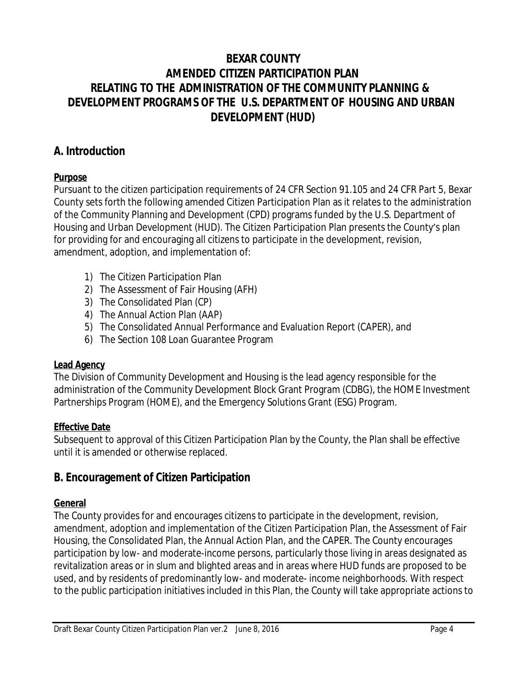# **BEXAR COUNTY AMENDED CITIZEN PARTICIPATION PLAN RELATING TO THE ADMINISTRATION OF THE COMMUNITY PLANNING & DEVELOPMENT PROGRAMS OF THE U.S. DEPARTMENT OF HOUSING AND URBAN DEVELOPMENT (HUD)**

# **A. Introduction**

# **Purpose**

Pursuant to the citizen participation requirements of 24 CFR Section 91.105 and 24 CFR Part 5, Bexar County sets forth the following amended Citizen Participation Plan as it relates to the administration of the Community Planning and Development (CPD) programs funded by the U.S. Department of Housing and Urban Development (HUD). The Citizen Participation Plan presents the County's plan for providing for and encouraging all citizens to participate in the development, revision, amendment, adoption, and implementation of:

- 1) The Citizen Participation Plan
- 2) The Assessment of Fair Housing (AFH)
- 3) The Consolidated Plan (CP)
- 4) The Annual Action Plan (AAP)
- 5) The Consolidated Annual Performance and Evaluation Report (CAPER), and
- 6) The Section 108 Loan Guarantee Program

#### **Lead Agency**

The Division of Community Development and Housing is the lead agency responsible for the administration of the Community Development Block Grant Program (CDBG), the HOME Investment Partnerships Program (HOME), and the Emergency Solutions Grant (ESG) Program.

#### **Effective Date**

Subsequent to approval of this Citizen Participation Plan by the County, the Plan shall be effective until it is amended or otherwise replaced.

# **B. Encouragement of Citizen Participation**

# **General**

The County provides for and encourages citizens to participate in the development, revision, amendment, adoption and implementation of the Citizen Participation Plan, the Assessment of Fair Housing, the Consolidated Plan, the Annual Action Plan, and the CAPER. The County encourages participation by low- and moderate-income persons, particularly those living in areas designated as revitalization areas or in slum and blighted areas and in areas where HUD funds are proposed to be used, and by residents of predominantly low- and moderate- income neighborhoods. With respect to the public participation initiatives included in this Plan, the County will take appropriate actions to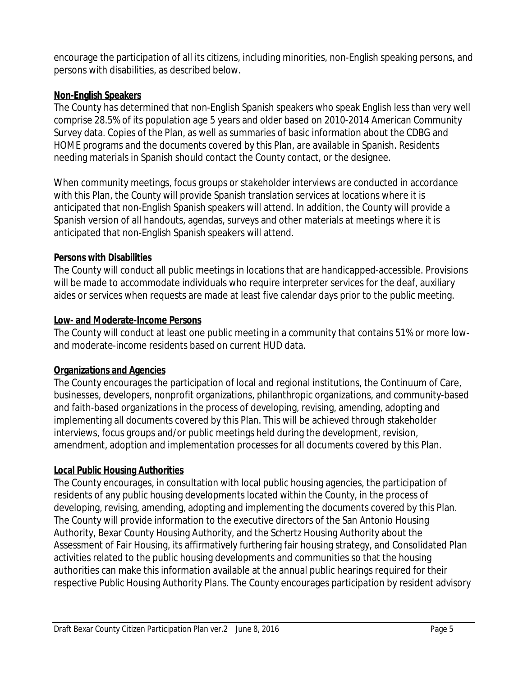encourage the participation of all its citizens, including minorities, non-English speaking persons, and persons with disabilities, as described below.

#### **Non-English Speakers**

The County has determined that non-English Spanish speakers who speak English less than very well comprise 28.5% of its population age 5 years and older based on 2010-2014 American Community Survey data. Copies of the Plan, as well as summaries of basic information about the CDBG and HOME programs and the documents covered by this Plan, are available in Spanish. Residents needing materials in Spanish should contact the County contact, or the designee.

When community meetings, focus groups or stakeholder interviews are conducted in accordance with this Plan, the County will provide Spanish translation services at locations where it is anticipated that non-English Spanish speakers will attend. In addition, the County will provide a Spanish version of all handouts, agendas, surveys and other materials at meetings where it is anticipated that non-English Spanish speakers will attend.

#### **Persons with Disabilities**

The County will conduct all public meetings in locations that are handicapped-accessible. Provisions will be made to accommodate individuals who require interpreter services for the deaf, auxiliary aides or services when requests are made at least five calendar days prior to the public meeting.

#### **Low- and Moderate-Income Persons**

The County will conduct at least one public meeting in a community that contains 51% or more lowand moderate-income residents based on current HUD data.

# **Organizations and Agencies**

The County encourages the participation of local and regional institutions, the Continuum of Care, businesses, developers, nonprofit organizations, philanthropic organizations, and community-based and faith-based organizations in the process of developing, revising, amending, adopting and implementing all documents covered by this Plan. This will be achieved through stakeholder interviews, focus groups and/or public meetings held during the development, revision, amendment, adoption and implementation processes for all documents covered by this Plan.

# **Local Public Housing Authorities**

The County encourages, in consultation with local public housing agencies, the participation of residents of any public housing developments located within the County, in the process of developing, revising, amending, adopting and implementing the documents covered by this Plan. The County will provide information to the executive directors of the San Antonio Housing Authority, Bexar County Housing Authority, and the Schertz Housing Authority about the Assessment of Fair Housing, its affirmatively furthering fair housing strategy, and Consolidated Plan activities related to the public housing developments and communities so that the housing authorities can make this information available at the annual public hearings required for their respective Public Housing Authority Plans. The County encourages participation by resident advisory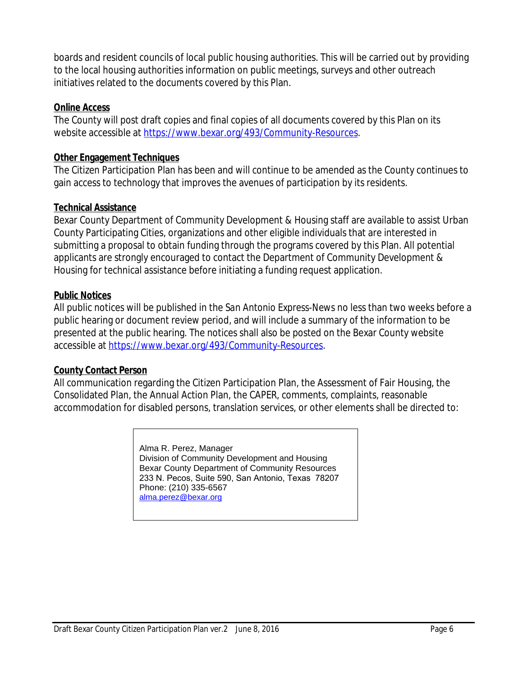boards and resident councils of local public housing authorities. This will be carried out by providing to the local housing authorities information on public meetings, surveys and other outreach initiatives related to the documents covered by this Plan.

#### **Online Access**

The County will post draft copies and final copies of all documents covered by this Plan on its website accessible at<https://www.bexar.org/493/Community-Resources>.

#### **Other Engagement Techniques**

The Citizen Participation Plan has been and will continue to be amended as the County continues to gain access to technology that improves the avenues of participation by its residents.

#### **Technical Assistance**

Bexar County Department of Community Development & Housing staff are available to assist Urban County Participating Cities, organizations and other eligible individuals that are interested in submitting a proposal to obtain funding through the programs covered by this Plan. All potential applicants are strongly encouraged to contact the Department of Community Development & Housing for technical assistance before initiating a funding request application.

#### **Public Notices**

All public notices will be published in the *San Antonio Express-News* no less than two weeks before a public hearing or document review period, and will include a summary of the information to be presented at the public hearing. The notices shall also be posted on the Bexar County website accessible at<https://www.bexar.org/493/Community-Resources>.

#### **County Contact Person**

All communication regarding the Citizen Participation Plan, the Assessment of Fair Housing, the Consolidated Plan, the Annual Action Plan, the CAPER, comments, complaints, reasonable accommodation for disabled persons, translation services, or other elements shall be directed to:

> Alma R. Perez, Manager Division of Community Development and Housing Bexar County Department of Community Resources 233 N. Pecos, Suite 590, San Antonio, Texas 78207 Phone: (210) 335-6567 [alma.perez@bexar.org](mailto:alma.perez@bexar.org)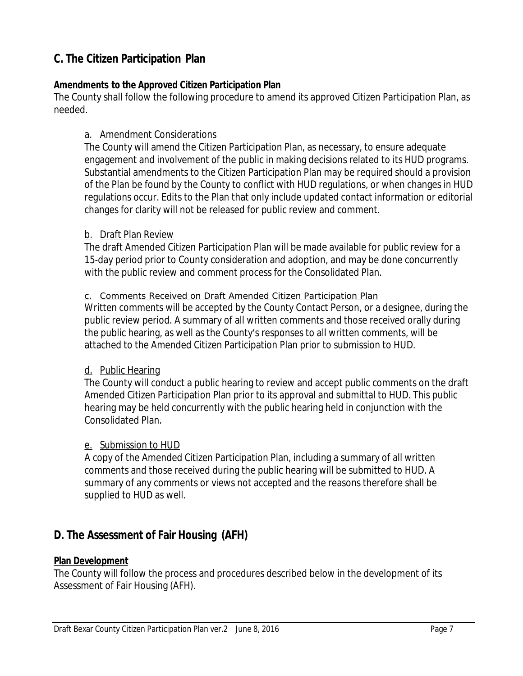# **C. The Citizen Participation Plan**

#### **Amendments to the Approved Citizen Participation Plan**

The County shall follow the following procedure to amend its approved Citizen Participation Plan, as needed.

#### a. Amendment Considerations

The County will amend the Citizen Participation Plan, as necessary, to ensure adequate engagement and involvement of the public in making decisions related to its HUD programs. Substantial amendments to the Citizen Participation Plan may be required should a provision of the Plan be found by the County to conflict with HUD regulations, or when changes in HUD regulations occur. Edits to the Plan that only include updated contact information or editorial changes for clarity will not be released for public review and comment.

#### b. Draft Plan Review

The draft Amended Citizen Participation Plan will be made available for public review for a 15-day period prior to County consideration and adoption, and may be done concurrently with the public review and comment process for the Consolidated Plan.

#### c. Comments Received on Draft Amended Citizen Participation Plan

Written comments will be accepted by the County Contact Person, or a designee, during the public review period. A summary of all written comments and those received orally during the public hearing, as well as the County's responses to all written comments, will be attached to the Amended Citizen Participation Plan prior to submission to HUD.

#### d. Public Hearing

The County will conduct a public hearing to review and accept public comments on the draft Amended Citizen Participation Plan prior to its approval and submittal to HUD. This public hearing may be held concurrently with the public hearing held in conjunction with the Consolidated Plan.

#### e. Submission to HUD

A copy of the Amended Citizen Participation Plan, including a summary of all written comments and those received during the public hearing will be submitted to HUD. A summary of any comments or views not accepted and the reasons therefore shall be supplied to HUD as well.

# **D. The Assessment of Fair Housing (AFH)**

#### **Plan Development**

The County will follow the process and procedures described below in the development of its Assessment of Fair Housing (AFH).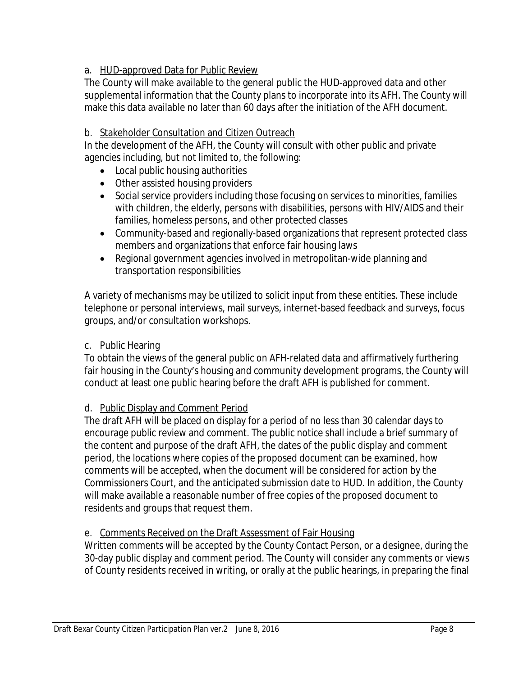# a. HUD-approved Data for Public Review

The County will make available to the general public the HUD-approved data and other supplemental information that the County plans to incorporate into its AFH. The County will make this data available no later than 60 days after the initiation of the AFH document.

#### b. Stakeholder Consultation and Citizen Outreach

In the development of the AFH, the County will consult with other public and private agencies including, but not limited to, the following:

- Local public housing authorities
- Other assisted housing providers
- Social service providers including those focusing on services to minorities, families with children, the elderly, persons with disabilities, persons with HIV/AIDS and their families, homeless persons, and other protected classes
- Community-based and regionally-based organizations that represent protected class members and organizations that enforce fair housing laws
- Regional government agencies involved in metropolitan-wide planning and transportation responsibilities

A variety of mechanisms may be utilized to solicit input from these entities. These include telephone or personal interviews, mail surveys, internet-based feedback and surveys, focus groups, and/or consultation workshops.

# c. Public Hearing

To obtain the views of the general public on AFH-related data and affirmatively furthering fair housing in the County's housing and community development programs, the County will conduct at least one public hearing before the draft AFH is published for comment.

# d. Public Display and Comment Period

The draft AFH will be placed on display for a period of no less than 30 calendar days to encourage public review and comment. The public notice shall include a brief summary of the content and purpose of the draft AFH, the dates of the public display and comment period, the locations where copies of the proposed document can be examined, how comments will be accepted, when the document will be considered for action by the Commissioners Court, and the anticipated submission date to HUD. In addition, the County will make available a reasonable number of free copies of the proposed document to residents and groups that request them.

#### e. Comments Received on the Draft Assessment of Fair Housing

Written comments will be accepted by the County Contact Person, or a designee, during the 30-day public display and comment period. The County will consider any comments or views of County residents received in writing, or orally at the public hearings, in preparing the final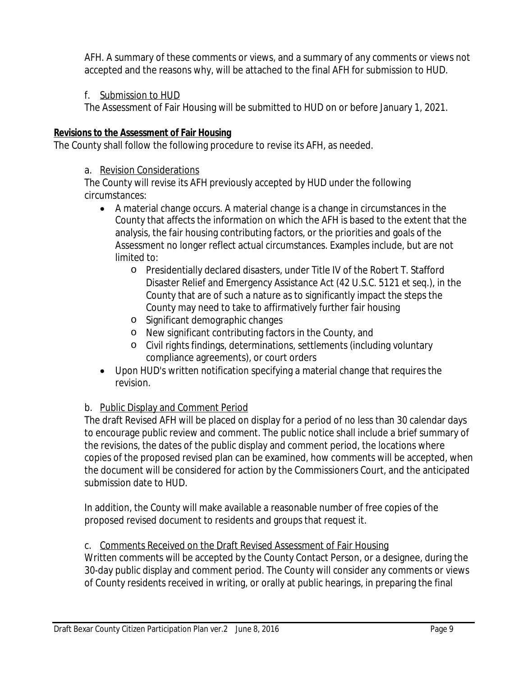AFH. A summary of these comments or views, and a summary of any comments or views not accepted and the reasons why, will be attached to the final AFH for submission to HUD.

#### f. Submission to HUD

The Assessment of Fair Housing will be submitted to HUD on or before January 1, 2021.

#### **Revisions to the Assessment of Fair Housing**

The County shall follow the following procedure to revise its AFH, as needed.

#### a. Revision Considerations

The County will revise its AFH previously accepted by HUD under the following circumstances:

- A material change occurs. A material change is a change in circumstances in the County that affects the information on which the AFH is based to the extent that the analysis, the fair housing contributing factors, or the priorities and goals of the Assessment no longer reflect actual circumstances. Examples include, but are not limited to:
	- o Presidentially declared disasters, under Title IV of the Robert T. Stafford Disaster Relief and Emergency Assistance Act (42 U.S.C. 5121 *et seq.*), in the County that are of such a nature as to significantly impact the steps the County may need to take to affirmatively further fair housing
	- o Significant demographic changes
	- o New significant contributing factors in the County, and
	- o Civil rights findings, determinations, settlements (including voluntary compliance agreements), or court orders
- Upon HUD's written notification specifying a material change that requires the revision.

#### b. Public Display and Comment Period

The draft Revised AFH will be placed on display for a period of no less than 30 calendar days to encourage public review and comment. The public notice shall include a brief summary of the revisions, the dates of the public display and comment period, the locations where copies of the proposed revised plan can be examined, how comments will be accepted, when the document will be considered for action by the Commissioners Court, and the anticipated submission date to HUD.

In addition, the County will make available a reasonable number of free copies of the proposed revised document to residents and groups that request it.

#### c. Comments Received on the Draft Revised Assessment of Fair Housing

Written comments will be accepted by the County Contact Person, or a designee, during the 30-day public display and comment period. The County will consider any comments or views of County residents received in writing, or orally at public hearings, in preparing the final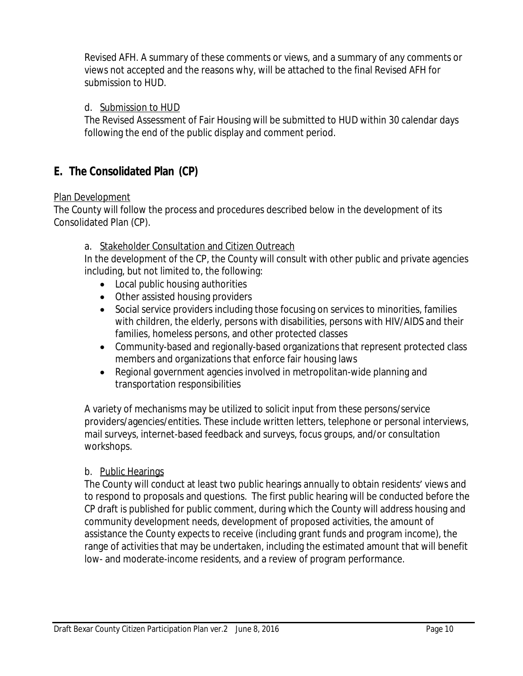Revised AFH. A summary of these comments or views, and a summary of any comments or views not accepted and the reasons why, will be attached to the final Revised AFH for submission to HUD.

#### d. Submission to HUD

The Revised Assessment of Fair Housing will be submitted to HUD within 30 calendar days following the end of the public display and comment period.

# **E. The Consolidated Plan (CP)**

#### Plan Development

The County will follow the process and procedures described below in the development of its Consolidated Plan (CP).

#### a. Stakeholder Consultation and Citizen Outreach

In the development of the CP, the County will consult with other public and private agencies including, but not limited to, the following:

- Local public housing authorities
- Other assisted housing providers
- Social service providers including those focusing on services to minorities, families with children, the elderly, persons with disabilities, persons with HIV/AIDS and their families, homeless persons, and other protected classes
- Community-based and regionally-based organizations that represent protected class members and organizations that enforce fair housing laws
- Regional government agencies involved in metropolitan-wide planning and transportation responsibilities

A variety of mechanisms may be utilized to solicit input from these persons/service providers/agencies/entities. These include written letters, telephone or personal interviews, mail surveys, internet-based feedback and surveys, focus groups, and/or consultation workshops.

#### b. Public Hearings

The County will conduct at least two public hearings annually to obtain residents' views and to respond to proposals and questions. The first public hearing will be conducted before the CP draft is published for public comment, during which the County will address housing and community development needs, development of proposed activities, the amount of assistance the County expects to receive (including grant funds and program income), the range of activities that may be undertaken, including the estimated amount that will benefit low- and moderate-income residents, and a review of program performance.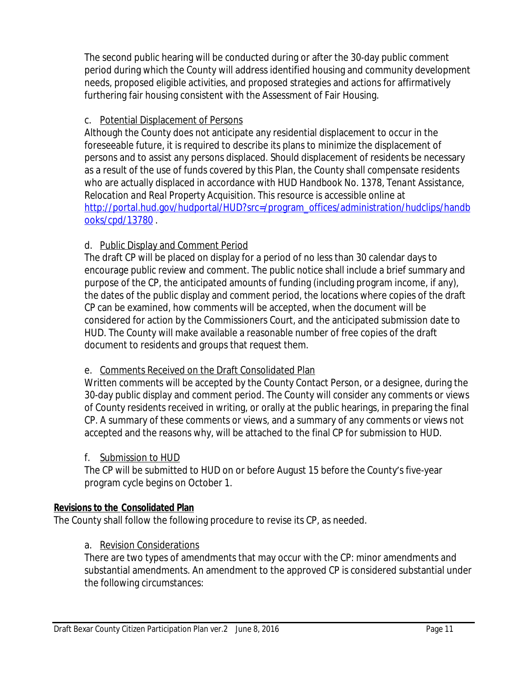The second public hearing will be conducted during or after the 30-day public comment period during which the County will address identified housing and community development needs, proposed eligible activities, and proposed strategies and actions for affirmatively furthering fair housing consistent with the Assessment of Fair Housing.

#### c. Potential Displacement of Persons

Although the County does not anticipate any residential displacement to occur in the foreseeable future, it is required to describe its plans to minimize the displacement of persons and to assist any persons displaced. Should displacement of residents be necessary as a result of the use of funds covered by this Plan, the County shall compensate residents who are actually displaced in accordance with *HUD Handbook No. 1378, Tenant Assistance, Relocation and Real Property Acquisition*. This resource is accessible online at http://portal.hud.gov/hudportal/HUD?src=/program\_offices/administration/hudclips/handb ooks/cpd/13780 .

#### d. Public Display and Comment Period

The draft CP will be placed on display for a period of no less than 30 calendar days to encourage public review and comment. The public notice shall include a brief summary and purpose of the CP, the anticipated amounts of funding (including program income, if any), the dates of the public display and comment period, the locations where copies of the draft CP can be examined, how comments will be accepted, when the document will be considered for action by the Commissioners Court, and the anticipated submission date to HUD. The County will make available a reasonable number of free copies of the draft document to residents and groups that request them.

# e. Comments Received on the Draft Consolidated Plan

Written comments will be accepted by the County Contact Person, or a designee, during the 30-day public display and comment period. The County will consider any comments or views of County residents received in writing, or orally at the public hearings, in preparing the final CP. A summary of these comments or views, and a summary of any comments or views not accepted and the reasons why, will be attached to the final CP for submission to HUD.

#### f. Submission to HUD

The CP will be submitted to HUD on or before August 15 before the County's five-year program cycle begins on October 1.

#### **Revisions to the Consolidated Plan**

The County shall follow the following procedure to revise its CP, as needed.

#### a. Revision Considerations

There are two types of amendments that may occur with the CP: minor amendments and substantial amendments. An amendment to the approved CP is considered substantial under the following circumstances: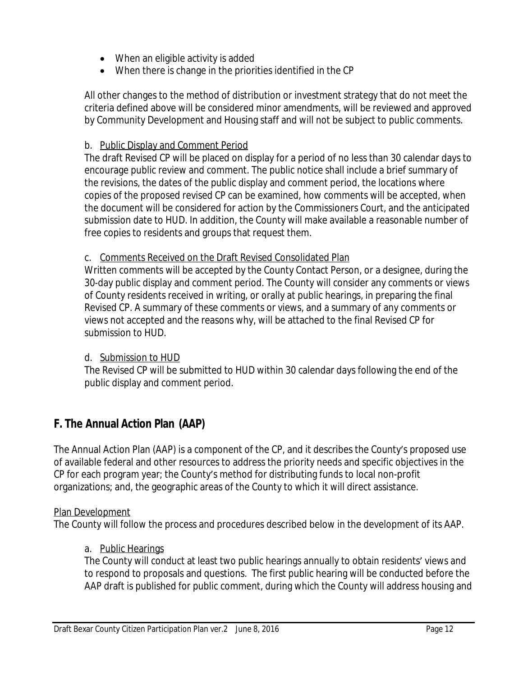- When an eligible activity is added
- When there is change in the priorities identified in the CP

All other changes to the method of distribution or investment strategy that do not meet the criteria defined above will be considered minor amendments, will be reviewed and approved by Community Development and Housing staff and will not be subject to public comments.

#### b. Public Display and Comment Period

The draft Revised CP will be placed on display for a period of no less than 30 calendar days to encourage public review and comment. The public notice shall include a brief summary of the revisions, the dates of the public display and comment period, the locations where copies of the proposed revised CP can be examined, how comments will be accepted, when the document will be considered for action by the Commissioners Court, and the anticipated submission date to HUD. In addition, the County will make available a reasonable number of free copies to residents and groups that request them.

#### c. Comments Received on the Draft Revised Consolidated Plan

Written comments will be accepted by the County Contact Person, or a designee, during the 30-day public display and comment period. The County will consider any comments or views of County residents received in writing, or orally at public hearings, in preparing the final Revised CP. A summary of these comments or views, and a summary of any comments or views not accepted and the reasons why, will be attached to the final Revised CP for submission to HUD.

#### d. Submission to HUD

The Revised CP will be submitted to HUD within 30 calendar days following the end of the public display and comment period.

# **F. The Annual Action Plan (AAP)**

The Annual Action Plan (AAP) is a component of the CP, and it describes the County's proposed use of available federal and other resources to address the priority needs and specific objectives in the CP for each program year; the County's method for distributing funds to local non-profit organizations; and, the geographic areas of the County to which it will direct assistance.

#### Plan Development

The County will follow the process and procedures described below in the development of its AAP.

#### a. Public Hearings

The County will conduct at least two public hearings annually to obtain residents' views and to respond to proposals and questions. The first public hearing will be conducted before the AAP draft is published for public comment, during which the County will address housing and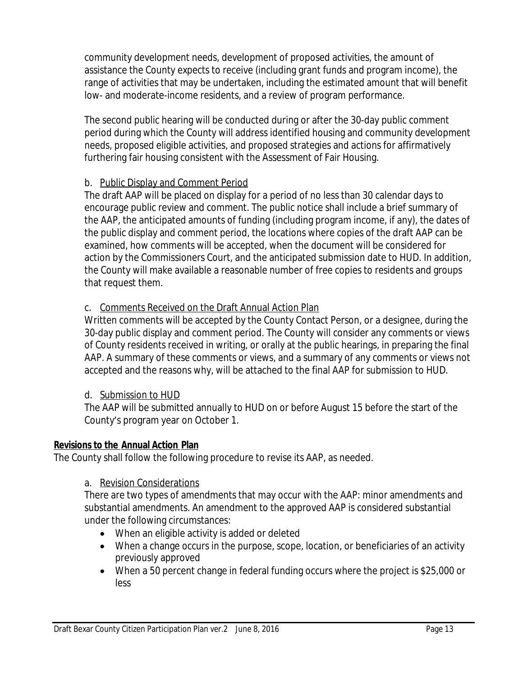community development needs, development of proposed activities, the amount of assistance the County expects to receive (including grant funds and program income), the range of activities that may be undertaken, including the estimated amount that will benefit low- and moderate-income residents, and a review of program performance.

The second public hearing will be conducted during or after the 30-day public comment period during which the County will address identified housing and community development needs, proposed eligible activities, and proposed strategies and actions for affirmatively furthering fair housing consistent with the Assessment of Fair Housing.

#### b. Public Display and Comment Period

The draft AAP will be placed on display for a period of no less than 30 calendar days to encourage public review and comment. The public notice shall include a brief summary of the AAP, the anticipated amounts of funding (including program income, if any), the dates of the public display and comment period, the locations where copies of the draft AAP can be examined, how comments will be accepted, when the document will be considered for action by the Commissioners Court, and the anticipated submission date to HUD. In addition, the County will make available a reasonable number of free copies to residents and groups that request them.

#### c. Comments Received on the Draft Annual Action Plan

Written comments will be accepted by the County Contact Person, or a designee, during the 30-day public display and comment period. The County will consider any comments or views of County residents received in writing, or orally at the public hearings, in preparing the final AAP. A summary of these comments or views, and a summary of any comments or views not accepted and the reasons why, will be attached to the final AAP for submission to HUD.

#### d. Submission to HUD

The AAP will be submitted annually to HUD on or before August 15 before the start of the County's program year on October 1.

#### **Revisions to the Annual Action Plan**

The County shall follow the following procedure to revise its AAP, as needed.

#### a. Revision Considerations

There are two types of amendments that may occur with the AAP: minor amendments and substantial amendments. An amendment to the approved AAP is considered substantial under the following circumstances:

- When an eligible activity is added or deleted
- When a change occurs in the purpose, scope, location, or beneficiaries of an activity previously approved
- When a 50 percent change in federal funding occurs where the project is \$25,000 or less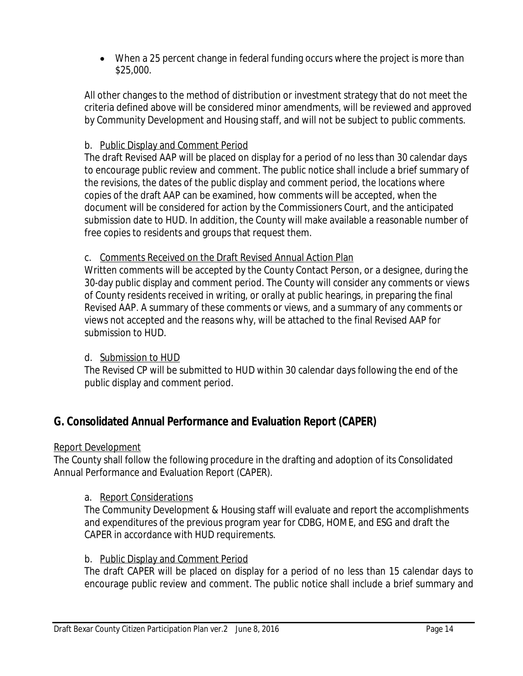When a 25 percent change in federal funding occurs where the project is more than \$25,000.

All other changes to the method of distribution or investment strategy that do not meet the criteria defined above will be considered minor amendments, will be reviewed and approved by Community Development and Housing staff, and will not be subject to public comments.

#### b. Public Display and Comment Period

The draft Revised AAP will be placed on display for a period of no less than 30 calendar days to encourage public review and comment. The public notice shall include a brief summary of the revisions, the dates of the public display and comment period, the locations where copies of the draft AAP can be examined, how comments will be accepted, when the document will be considered for action by the Commissioners Court, and the anticipated submission date to HUD. In addition, the County will make available a reasonable number of free copies to residents and groups that request them.

#### c. Comments Received on the Draft Revised Annual Action Plan

Written comments will be accepted by the County Contact Person, or a designee, during the 30-day public display and comment period. The County will consider any comments or views of County residents received in writing, or orally at public hearings, in preparing the final Revised AAP. A summary of these comments or views, and a summary of any comments or views not accepted and the reasons why, will be attached to the final Revised AAP for submission to HUD.

#### d. Submission to HUD

The Revised CP will be submitted to HUD within 30 calendar days following the end of the public display and comment period.

# **G. Consolidated Annual Performance and Evaluation Report (CAPER)**

#### Report Development

The County shall follow the following procedure in the drafting and adoption of its Consolidated Annual Performance and Evaluation Report (CAPER).

#### a. Report Considerations

The Community Development & Housing staff will evaluate and report the accomplishments and expenditures of the previous program year for CDBG, HOME, and ESG and draft the CAPER in accordance with HUD requirements.

#### b. Public Display and Comment Period

The draft CAPER will be placed on display for a period of no less than 15 calendar days to encourage public review and comment. The public notice shall include a brief summary and